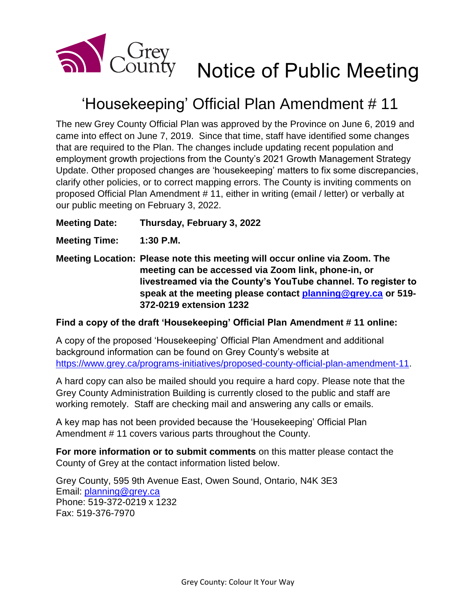

## 'Housekeeping' Official Plan Amendment # 11

The new Grey County Official Plan was approved by the Province on June 6, 2019 and came into effect on June 7, 2019. Since that time, staff have identified some changes that are required to the Plan. The changes include updating recent population and employment growth projections from the County's 2021 Growth Management Strategy Update. Other proposed changes are 'housekeeping' matters to fix some discrepancies, clarify other policies, or to correct mapping errors. The County is inviting comments on proposed Official Plan Amendment # 11, either in writing (email / letter) or verbally at our public meeting on February 3, 2022.

**Meeting Date: Thursday, February 3, 2022**

**Meeting Time: 1:30 P.M.**

**Meeting Location: Please note this meeting will occur online via Zoom. The meeting can be accessed via Zoom link, phone-in, or livestreamed via the County's YouTube channel. To register to speak at the meeting please contact [planning@grey.ca](mailto:planning@grey.ca) or 519- 372-0219 extension 1232**

## **Find a copy of the draft 'Housekeeping' Official Plan Amendment # 11 online:**

A copy of the proposed 'Housekeeping' Official Plan Amendment and additional background information can be found on Grey County's website at [https://www.grey.ca/programs-initiatives/proposed-county-official-plan-amendment-11.](https://www.grey.ca/programs-initiatives/proposed-county-official-plan-amendment-11)

A hard copy can also be mailed should you require a hard copy. Please note that the Grey County Administration Building is currently closed to the public and staff are working remotely. Staff are checking mail and answering any calls or emails.

A key map has not been provided because the 'Housekeeping' Official Plan Amendment # 11 covers various parts throughout the County.

**For more information or to submit comments** on this matter please contact the County of Grey at the contact information listed below.

Grey County, 595 9th Avenue East, Owen Sound, Ontario, N4K 3E3 Email: [planning@grey.ca](mailto:planning@grey.ca) Phone: 519-372-0219 x 1232 Fax: 519-376-7970